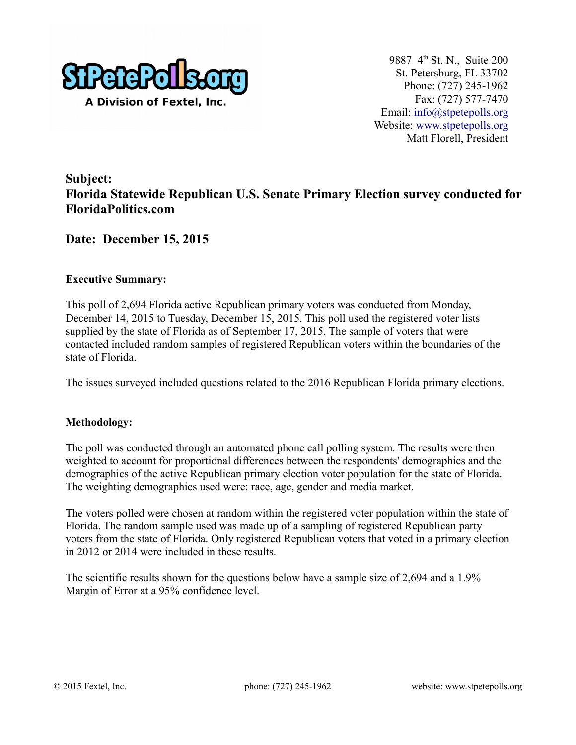

9887 4th St. N., Suite 200 St. Petersburg, FL 33702 Phone: (727) 245-1962 Fax: (727) 577-7470 Email: [info@stpetepolls.org](mailto:info@stpetepolls.org) Website: [www.stpetepolls.org](http://www.stpetepolls.org/) Matt Florell, President

# **Subject: Florida Statewide Republican U.S. Senate Primary Election survey conducted for FloridaPolitics.com**

## **Date: December 15, 2015**

#### **Executive Summary:**

This poll of 2,694 Florida active Republican primary voters was conducted from Monday, December 14, 2015 to Tuesday, December 15, 2015. This poll used the registered voter lists supplied by the state of Florida as of September 17, 2015. The sample of voters that were contacted included random samples of registered Republican voters within the boundaries of the state of Florida.

The issues surveyed included questions related to the 2016 Republican Florida primary elections.

#### **Methodology:**

The poll was conducted through an automated phone call polling system. The results were then weighted to account for proportional differences between the respondents' demographics and the demographics of the active Republican primary election voter population for the state of Florida. The weighting demographics used were: race, age, gender and media market.

The voters polled were chosen at random within the registered voter population within the state of Florida. The random sample used was made up of a sampling of registered Republican party voters from the state of Florida. Only registered Republican voters that voted in a primary election in 2012 or 2014 were included in these results.

The scientific results shown for the questions below have a sample size of 2,694 and a 1.9% Margin of Error at a 95% confidence level.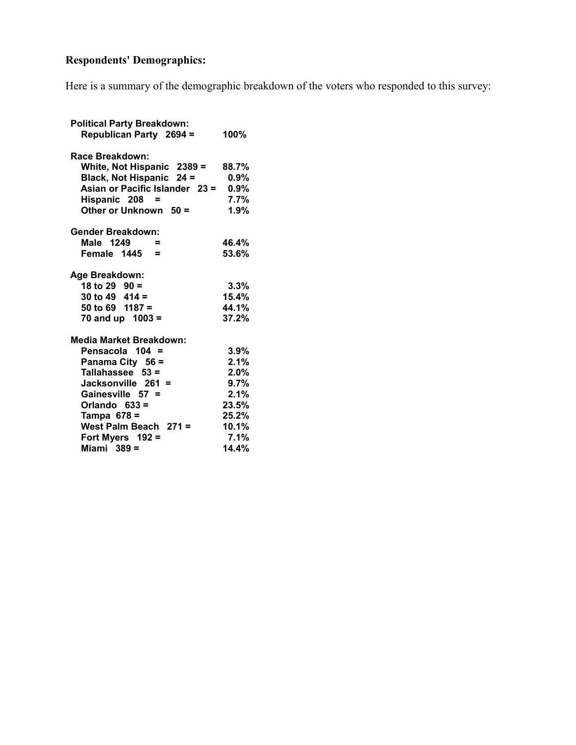# **Respondents' Demographics:**

Here is a summary of the demographic breakdown of the voters who responded to this survey:

| <b>Political Party Breakdown:</b> |         |
|-----------------------------------|---------|
| <b>Republican Party 2694 =</b>    | 100%    |
| Race Breakdown:                   |         |
| White, Not Hispanic 2389 =        | 88.7%   |
| Black, Not Hispanic 24 =          | $0.9\%$ |
| Asian or Pacific Islander 23 =    | $0.9\%$ |
| Hispanic 208 =                    | 7.7%    |
| Other or Unknown $50 =$           | 1.9%    |
| Gender Breakdown:                 |         |
| Male 1249<br>$\equiv$             | 46.4%   |
| Female $1445 =$                   | 53.6%   |
| Age Breakdown:                    |         |
| 18 to 29 $90 =$                   | $3.3\%$ |
| 30 to 49 $414 =$                  | 15.4%   |
| 50 to 69 $1187 =$                 | 44.1%   |
| 70 and up $1003 =$                | 37.2%   |
| <b>Media Market Breakdown:</b>    |         |
| Pensacola 104 =                   | 3.9%    |
| Panama City 56 =                  | 2.1%    |
| Tallahassee $53 =$                | $2.0\%$ |
| Jacksonville 261 =                | $9.7\%$ |
| Gainesville 57 =                  | $2.1\%$ |
| Orlando $633 =$                   | 23.5%   |
| Tampa $678 =$                     | 25.2%   |
| West Palm Beach 271 =             | 10.1%   |
| Fort Myers 192 =                  | 7.1%    |
| Miami $389 =$                     | 14.4%   |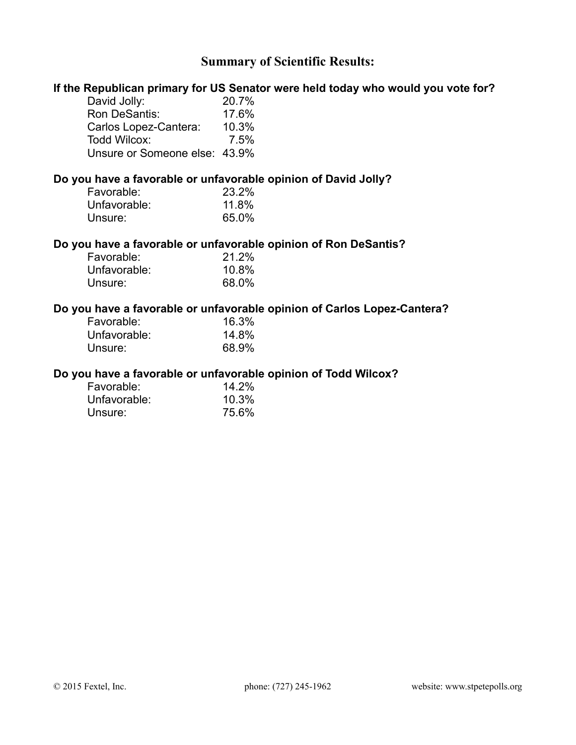# **Summary of Scientific Results:**

|                               | If the Republican primary for US Senator were held today who would you vote for? |
|-------------------------------|----------------------------------------------------------------------------------|
| David Jolly:                  | 20.7%                                                                            |
| Ron DeSantis:                 | 17.6%                                                                            |
| Carlos Lopez-Cantera: 10.3%   |                                                                                  |
| Todd Wilcox:                  | 7.5%                                                                             |
| Unsure or Someone else: 43.9% |                                                                                  |
|                               | Do you have a favorable or unfavorable opinion of David Jolly?                   |
| Favorable:                    | 23.2%                                                                            |
| Unfavorable:                  | 11.8%                                                                            |
| Unsure:                       | 65.0%                                                                            |
|                               | Do you have a favorable or unfavorable opinion of Ron DeSantis?                  |
| Favorable:                    | 21.2%                                                                            |
| Unfavorable:                  | 10.8%                                                                            |
| Unsure:                       | 68.0%                                                                            |
|                               | Do you have a favorable or unfavorable opinion of Carlos Lopez-Cantera?          |
| Favorable:                    | 16.3%                                                                            |
| Unfavorable:                  | 14.8%                                                                            |
| Unsure:                       | 68.9%                                                                            |
|                               | Do you have a favorable or unfavorable opinion of Todd Wilcox?                   |
| Favorable:                    | 14.2%                                                                            |
| Unfavorable:                  | 10.3%                                                                            |
| Unsure:                       | 75.6%                                                                            |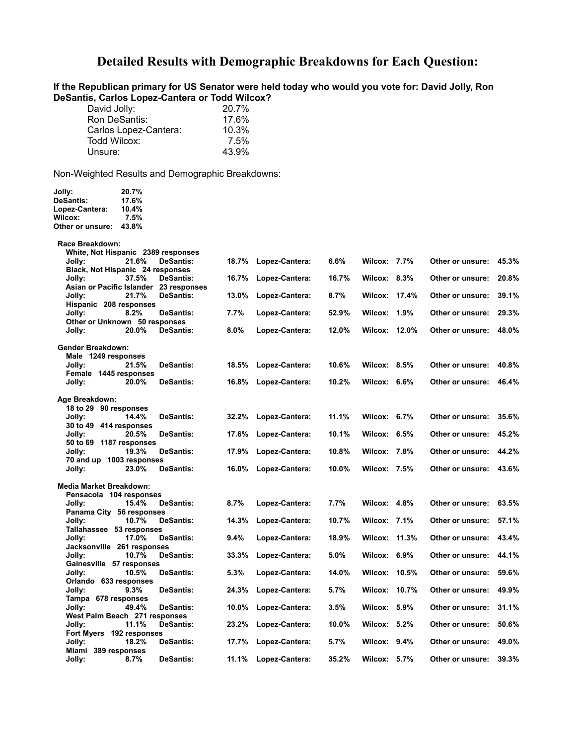## **Detailed Results with Demographic Breakdowns for Each Question:**

**If the Republican primary for US Senator were held today who would you vote for: David Jolly, Ron DeSantis, Carlos Lopez-Cantera or Todd Wilcox?** 

| David Jolly:          | 20.7% |
|-----------------------|-------|
| Ron DeSantis:         | 17.6% |
| Carlos Lopez-Cantera: | 10.3% |
| Todd Wilcox:          | 7.5%  |
| Unsure:               | 43.9% |

| Jolly:<br><b>DeSantis:</b>                                  | 20.7%<br>17.6% |                                                            |         |                |         |                      |                        |       |
|-------------------------------------------------------------|----------------|------------------------------------------------------------|---------|----------------|---------|----------------------|------------------------|-------|
| Lopez-Cantera:                                              | 10.4%          |                                                            |         |                |         |                      |                        |       |
| Wilcox:                                                     | 7.5%           |                                                            |         |                |         |                      |                        |       |
| Other or unsure:                                            | 43.8%          |                                                            |         |                |         |                      |                        |       |
| Race Breakdown:<br>White, Not Hispanic 2389 responses       |                |                                                            |         |                |         |                      |                        |       |
| Jolly:<br>Black, Not Hispanic 24 responses                  | 21.6%          | <b>DeSantis:</b>                                           | 18.7%   | Lopez-Cantera: | 6.6%    | <b>Wilcox: 7.7%</b>  | Other or unsure: 45.3% |       |
| Jolly:                                                      | 37.5%          | <b>DeSantis:</b><br>Asian or Pacific Islander 23 responses | 16.7%   | Lopez-Cantera: | 16.7%   | Wilcox: $8.3\%$      | Other or unsure:       | 20.8% |
| Jolly:<br>Hispanic 208 responses                            | 21.7%          | <b>DeSantis:</b>                                           | 13.0%   | Lopez-Cantera: | 8.7%    | Wilcox: 17.4%        | Other or unsure:       | 39.1% |
| Jolly:<br>Other or Unknown 50 responses                     | 8.2%           | <b>DeSantis:</b>                                           | 7.7%    | Lopez-Cantera: | 52.9%   | <b>Wilcox: 1.9%</b>  | Other or unsure:       | 29.3% |
| Jolly:                                                      | 20.0%          | <b>DeSantis:</b>                                           | $8.0\%$ | Lopez-Cantera: | 12.0%   | <b>Wilcox: 12.0%</b> | Other or unsure: 48.0% |       |
| Gender Breakdown:<br>Male 1249 responses                    |                |                                                            |         |                |         |                      |                        |       |
| Jolly:<br>Female 1445 responses                             | 21.5%          | <b>DeSantis:</b>                                           | 18.5%   | Lopez-Cantera: | 10.6%   | Wilcox: 8.5%         | Other or unsure: 40.8% |       |
| Jolly:                                                      | 20.0%          | <b>DeSantis:</b>                                           | 16.8%   | Lopez-Cantera: | 10.2%   | Wilcox: 6.6%         | Other or unsure: 46.4% |       |
| Age Breakdown:                                              |                |                                                            |         |                |         |                      |                        |       |
| 18 to 29 90 responses                                       |                |                                                            |         |                |         |                      |                        |       |
| Jolly:                                                      | 14.4%          | <b>DeSantis:</b>                                           | 32.2%   | Lopez-Cantera: | 11.1%   | Wilcox: $6.7\%$      | Other or unsure: 35.6% |       |
| 30 to 49 414 responses<br>Jolly:<br>50 to 69 1187 responses | 20.5%          | <b>DeSantis:</b>                                           | 17.6%   | Lopez-Cantera: | 10.1%   | Wilcox: $6.5\%$      | Other or unsure: 45.2% |       |
| Jolly:                                                      | 19.3%          | <b>DeSantis:</b>                                           | 17.9%   | Lopez-Cantera: | 10.8%   | <b>Wilcox: 7.8%</b>  | Other or unsure: 44.2% |       |
| 70 and up 1003 responses<br>Jolly:                          | 23.0%          | <b>DeSantis:</b>                                           | 16.0%   | Lopez-Cantera: | 10.0%   | <b>Wilcox: 7.5%</b>  | Other or unsure: 43.6% |       |
| <b>Media Market Breakdown:</b><br>Pensacola 104 responses   |                |                                                            |         |                |         |                      |                        |       |
| Jolly:                                                      | 15.4%          | <b>DeSantis:</b>                                           | $8.7\%$ | Lopez-Cantera: | 7.7%    | <b>Wilcox: 4.8%</b>  | Other or unsure: 63.5% |       |
| Panama City 56 responses<br>Jolly:                          | 10.7%          | <b>DeSantis:</b>                                           | 14.3%   | Lopez-Cantera: | 10.7%   | <b>Wilcox: 7.1%</b>  | Other or unsure:       | 57.1% |
| Tallahassee 53 responses                                    |                |                                                            |         |                |         |                      |                        |       |
| Jolly:<br>Jacksonville 261 responses                        | 17.0%          | <b>DeSantis:</b>                                           | 9.4%    | Lopez-Cantera: | 18.9%   | Wilcox: 11.3%        | Other or unsure: 43.4% |       |
| Jolly:<br>Gainesville 57 responses                          | 10.7%          | <b>DeSantis:</b>                                           | 33.3%   | Lopez-Cantera: | $5.0\%$ | Wilcox: $6.9\%$      | Other or unsure: 44.1% |       |
| Jolly:<br>Orlando 633 responses                             | 10.5%          | <b>DeSantis:</b>                                           | $5.3\%$ | Lopez-Cantera: | 14.0%   | <b>Wilcox: 10.5%</b> | Other or unsure:       | 59.6% |
| Jolly:                                                      | 9.3%           | <b>DeSantis:</b>                                           | 24.3%   | Lopez-Cantera: | 5.7%    | <b>Wilcox: 10.7%</b> | Other or unsure: 49.9% |       |
| Tampa 678 responses<br>Jolly:                               | 49.4%          | <b>DeSantis:</b>                                           | 10.0%   | Lopez-Cantera: | 3.5%    | Wilcox: 5.9%         | Other or unsure:       | 31.1% |
| West Palm Beach 271 responses<br>Jolly:                     | 11.1%          | <b>DeSantis:</b>                                           | 23.2%   | Lopez-Cantera: | 10.0%   | <b>Wilcox: 5.2%</b>  | Other or unsure:       | 50.6% |
| Fort Myers 192 responses                                    |                |                                                            |         |                |         |                      |                        |       |
| Jolly:<br>Miami 389 responses                               | 18.2%          | <b>DeSantis:</b>                                           | 17.7%   | Lopez-Cantera: | 5.7%    | Wilcox: $9.4\%$      | Other or unsure: 49.0% |       |
| Jolly:                                                      | 8.7%           | <b>DeSantis:</b>                                           | 11.1%   | Lopez-Cantera: | 35.2%   | <b>Wilcox: 5.7%</b>  | Other or unsure:       | 39.3% |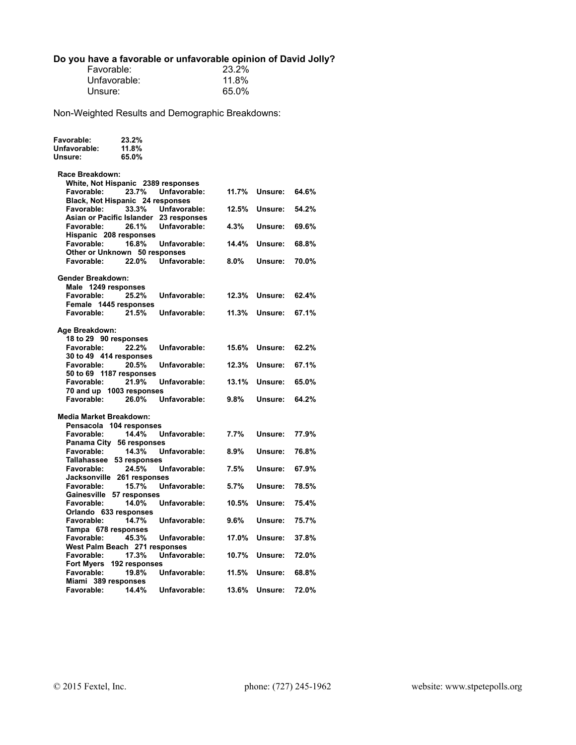#### **Do you have a favorable or unfavorable opinion of David Jolly?**

| Favorable:   | 23.2% |
|--------------|-------|
| Unfavorable: | 11.8% |
| Unsure:      | 65.0% |

| Favorable:<br>Unfavorable:<br>Unsure:    | 23.2%<br>11.8%<br>65.0% |              |         |         |       |
|------------------------------------------|-------------------------|--------------|---------|---------|-------|
| Race Breakdown:                          |                         |              |         |         |       |
| White, Not Hispanic 2389 responses       |                         |              |         |         |       |
| <b>Favorable:</b>                        | 23.7%                   | Unfavorable: | 11.7%   | Unsure: | 64.6% |
| Black, Not Hispanic 24 responses         |                         |              |         |         |       |
| Favorable:                               | 33.3%                   | Unfavorable: | 12.5%   | Unsure: | 54.2% |
| Asian or Pacific Islander 23 responses   |                         |              |         |         |       |
| Favorable:                               | 26.1%                   | Unfavorable: | 4.3%    | Unsure: | 69.6% |
| Hispanic 208 responses                   |                         |              |         |         |       |
| Favorable:                               | 16.8%                   | Unfavorable: | 14.4%   | Unsure: | 68.8% |
| Other or Unknown 50 responses            |                         |              |         |         |       |
| Favorable:                               | 22.0%                   | Unfavorable: | 8.0%    | Unsure: | 70.0% |
|                                          |                         |              |         |         |       |
| <b>Gender Breakdown:</b>                 |                         |              |         |         |       |
| Male 1249 responses<br>Favorable:        | 25.2%                   | Unfavorable: | 12.3%   | Unsure: | 62.4% |
| Female 1445 responses                    |                         |              |         |         |       |
| Favorable:                               | 21.5%                   | Unfavorable: | 11.3%   | Unsure: | 67.1% |
|                                          |                         |              |         |         |       |
| Age Breakdown:                           |                         |              |         |         |       |
| 18 to 29 90 responses                    |                         |              |         |         |       |
| Favorable:                               | 22.2%                   | Unfavorable: | 15.6%   | Unsure: | 62.2% |
| 30 to 49 414 responses                   |                         |              |         |         |       |
| Favorable:                               | 20.5%                   | Unfavorable: | 12.3%   | Unsure: | 67.1% |
| 50 to 69 1187 responses                  |                         |              |         |         |       |
| Favorable:                               | 21.9%                   | Unfavorable: | 13.1%   | Unsure: | 65.0% |
| 70 and up 1003 responses                 |                         |              |         |         |       |
| Favorable:                               | 26.0%                   | Unfavorable: | 9.8%    | Unsure: | 64.2% |
|                                          |                         |              |         |         |       |
| Media Market Breakdown:                  |                         |              |         |         |       |
| Pensacola 104 responses                  |                         |              |         |         |       |
| Favorable:                               | 14.4%                   | Unfavorable: | $7.7\%$ | Unsure: | 77.9% |
| Panama City 56 responses                 |                         |              |         |         |       |
| <b>Favorable:</b>                        | 14.3%                   | Unfavorable: | $8.9\%$ | Unsure: | 76.8% |
| Tallahassee 53 responses                 |                         |              |         |         |       |
| Favorable:<br>Jacksonville 261 responses | 24.5%                   | Unfavorable: | 7.5%    | Unsure: | 67.9% |
| Favorable:                               | 15.7%                   | Unfavorable: | 5.7%    | Unsure: | 78.5% |
| Gainesville 57 responses                 |                         |              |         |         |       |
| <b>Favorable:</b>                        | 14.0%                   | Unfavorable: | 10.5%   | Unsure: | 75.4% |
| Orlando 633 responses                    |                         |              |         |         |       |
| Favorable:                               | 14.7%                   | Unfavorable: | $9.6\%$ | Unsure: | 75.7% |
| Tampa 678 responses                      |                         |              |         |         |       |
| Favorable:                               | 45.3%                   | Unfavorable: | 17.0%   | Unsure: | 37.8% |
| West Palm Beach 271 responses            |                         |              |         |         |       |
| Favorable:                               | 17.3%                   | Unfavorable: | 10.7%   | Unsure: | 72.0% |
| <b>Fort Myers</b>                        | 192 responses           |              |         |         |       |
| Favorable:                               | 19.8%                   | Unfavorable: | 11.5%   | Unsure: | 68.8% |
| Miami 389 responses                      |                         |              |         |         |       |
| <b>Favorable:</b>                        | 14.4%                   | Unfavorable: | 13.6%   | Unsure: | 72.0% |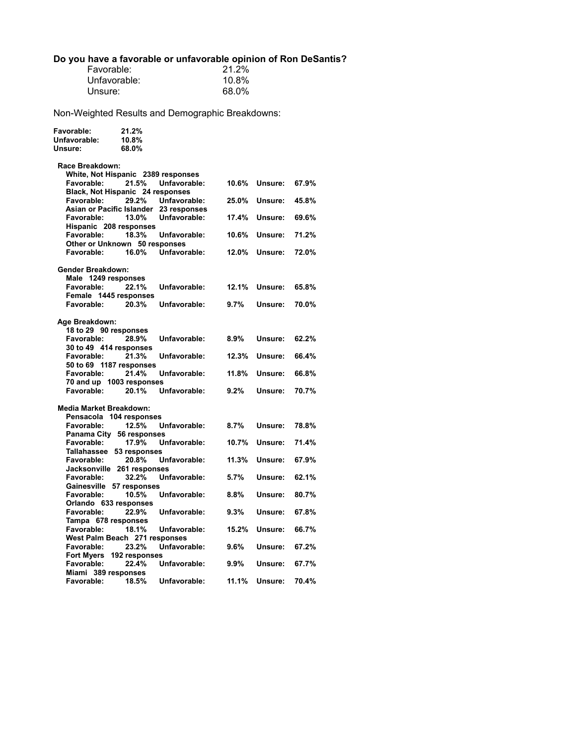#### **Do you have a favorable or unfavorable opinion of Ron DeSantis?**

| Favorable:   | 21.2% |
|--------------|-------|
| Unfavorable: | 10.8% |
| Unsure:      | 68.0% |

| Favorable:<br>Unfavorable:<br>Unsure:          | 21.2%<br>10.8%<br>68.0% |              |         |         |       |
|------------------------------------------------|-------------------------|--------------|---------|---------|-------|
| Race Breakdown:                                |                         |              |         |         |       |
| White, Not Hispanic 2389 responses             |                         |              |         |         |       |
| Favorable:<br>Black, Not Hispanic 24 responses | 21.5%                   | Unfavorable: | 10.6%   | Unsure: | 67.9% |
| Favorable:                                     | 29.2%                   | Unfavorable: | 25.0%   | Unsure: | 45.8% |
| Asian or Pacific Islander 23 responses         |                         |              |         |         |       |
| Favorable:                                     | 13.0%                   | Unfavorable: | 17.4%   | Unsure: | 69.6% |
| Hispanic 208 responses<br>Favorable:           | 18.3%                   | Unfavorable: | 10.6%   | Unsure: | 71.2% |
| Other or Unknown 50 responses                  |                         |              |         |         |       |
| Favorable:                                     | 16.0%                   | Unfavorable: | 12.0%   | Unsure: | 72.0% |
|                                                |                         |              |         |         |       |
| <b>Gender Breakdown:</b>                       |                         |              |         |         |       |
| Male 1249 responses<br><b>Favorable:</b>       | 22.1%                   | Unfavorable: | 12.1%   | Unsure: | 65.8% |
| Female 1445 responses                          |                         |              |         |         |       |
| Favorable:                                     | 20.3%                   | Unfavorable: | 9.7%    | Unsure: | 70.0% |
|                                                |                         |              |         |         |       |
| Age Breakdown:                                 |                         |              |         |         |       |
| 18 to 29 90 responses<br><b>Favorable:</b>     | 28.9%                   | Unfavorable: | $8.9\%$ | Unsure: | 62.2% |
| 30 to 49 414 responses                         |                         |              |         |         |       |
| Favorable:                                     | 21.3%                   | Unfavorable: | 12.3%   | Unsure: | 66.4% |
| 50 to 69 1187 responses                        |                         |              |         |         |       |
| Favorable:                                     | 21.4%                   | Unfavorable: | 11.8%   | Unsure: | 66.8% |
| 70 and up 1003 responses<br>Favorable:         | 20.1%                   | Unfavorable: | 9.2%    | Unsure: | 70.7% |
|                                                |                         |              |         |         |       |
| <b>Media Market Breakdown:</b>                 |                         |              |         |         |       |
| Pensacola 104 responses                        |                         |              |         |         |       |
| Favorable:                                     | 12.5%                   | Unfavorable: | 8.7%    | Unsure: | 78.8% |
| Panama City 56 responses<br>Favorable:         | 17.9%                   | Unfavorable: | 10.7%   | Unsure: | 71.4% |
| Tallahassee 53 responses                       |                         |              |         |         |       |
| Favorable:                                     | 20.8%                   | Unfavorable: | 11.3%   | Unsure: | 67.9% |
| Jacksonville 261 responses                     |                         |              |         |         |       |
| Favorable:                                     | 32.2%                   | Unfavorable: | 5.7%    | Unsure: | 62.1% |
| Gainesville 57 responses                       |                         |              |         |         |       |
| Favorable:<br>Orlando 633 responses            | 10.5%                   | Unfavorable: | 8.8%    | Unsure: | 80.7% |
| Favorable:                                     | 22.9%                   | Unfavorable: | 9.3%    | Unsure: | 67.8% |
| Tampa 678 responses                            |                         |              |         |         |       |
| Favorable:                                     | 18.1%                   | Unfavorable: | 15.2%   | Unsure: | 66.7% |
| West Palm Beach 271 responses                  |                         |              |         |         |       |
| <b>Favorable:</b>                              | 23.2%                   | Unfavorable: | 9.6%    | Unsure: | 67.2% |
| Fort Myers 192 responses<br>Favorable:         | 22.4%                   | Unfavorable: | 9.9%    | Unsure: | 67.7% |
| Miami 389 responses                            |                         |              |         |         |       |
| Favorable:                                     | 18.5%                   | Unfavorable: | 11.1%   | Unsure: | 70.4% |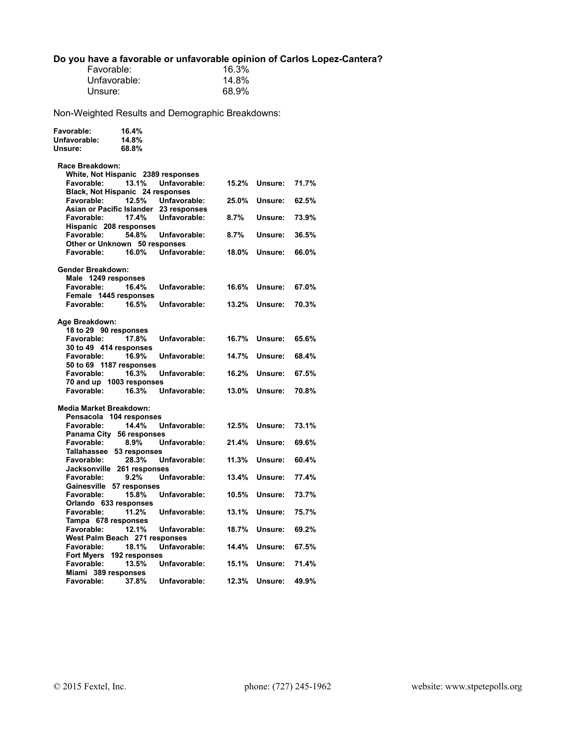### **Do you have a favorable or unfavorable opinion of Carlos Lopez-Cantera?**

| Favorable:   | 16.3% |
|--------------|-------|
| Unfavorable: | 14.8% |
| Unsure:      | 68.9% |

| Favorable:<br>Unfavorable:<br>Unsure:       | 16.4%<br>14.8%<br>68.8% |              |          |         |       |
|---------------------------------------------|-------------------------|--------------|----------|---------|-------|
| Race Breakdown:                             |                         |              |          |         |       |
| White, Not Hispanic 2389 responses          |                         |              |          |         |       |
| Favorable:                                  | 13.1%                   | Unfavorable: | 15.2%    | Unsure: | 71.7% |
| Black, Not Hispanic 24 responses            |                         |              |          |         |       |
| Favorable:                                  | 12.5%                   | Unfavorable: | 25.0%    | Unsure: | 62.5% |
| Asian or Pacific Islander 23 responses      |                         |              |          |         |       |
| Favorable:                                  | 17.4%                   | Unfavorable: | 8.7%     | Unsure: | 73.9% |
| Hispanic 208 responses                      |                         |              |          |         |       |
| Favorable:                                  | 54.8%                   | Unfavorable: | 8.7%     | Unsure: | 36.5% |
| Other or Unknown 50 responses<br>Favorable: | 16.0%                   | Unfavorable: | 18.0%    | Unsure: | 66.0% |
|                                             |                         |              |          |         |       |
| <b>Gender Breakdown:</b>                    |                         |              |          |         |       |
| Male 1249 responses                         |                         |              |          |         |       |
| <b>Favorable:</b>                           | 16.4%                   | Unfavorable: | 16.6%    | Unsure: | 67.0% |
| Female 1445 responses                       |                         |              |          |         |       |
| Favorable:                                  | 16.5%                   | Unfavorable: | $13.2\%$ | Unsure: | 70.3% |
|                                             |                         |              |          |         |       |
| Age Breakdown:                              |                         |              |          |         |       |
| 18 to 29 90 responses                       |                         |              |          |         |       |
| Favorable:                                  | 17.8%                   | Unfavorable: | 16.7%    | Unsure: | 65.6% |
| 30 to 49 414 responses                      |                         |              |          |         |       |
| Favorable:                                  | 16.9%                   | Unfavorable: | 14.7%    | Unsure: | 68.4% |
| 50 to 69 1187 responses                     |                         |              |          |         |       |
| Favorable:                                  | 16.3%                   | Unfavorable: | 16.2%    | Unsure: | 67.5% |
| 70 and up 1003 responses<br>Favorable:      | 16.3%                   | Unfavorable: | 13.0%    | Unsure: | 70.8% |
|                                             |                         |              |          |         |       |
| <b>Media Market Breakdown:</b>              |                         |              |          |         |       |
| Pensacola 104 responses                     |                         |              |          |         |       |
| Favorable:                                  | 14.4%                   | Unfavorable: | 12.5%    | Unsure: | 73.1% |
| Panama City 56 responses                    |                         |              |          |         |       |
| Favorable:                                  | $8.9\%$                 | Unfavorable: | 21.4%    | Unsure: | 69.6% |
| Tallahassee 53 responses                    |                         |              |          |         |       |
| Favorable:                                  | 28.3%                   | Unfavorable: | 11.3%    | Unsure: | 60.4% |
| Jacksonville 261 responses                  |                         |              |          |         |       |
| Favorable:                                  | $9.2\%$                 | Unfavorable: | 13.4%    | Unsure: | 77.4% |
| Gainesville 57 responses                    |                         |              |          |         |       |
| Favorable:                                  | 15.8%                   | Unfavorable: | 10.5%    | Unsure: | 73.7% |
| Orlando 633 responses                       |                         |              |          |         |       |
| Favorable:                                  | 11.2%                   | Unfavorable: | 13.1%    | Unsure: | 75.7% |
| Tampa 678 responses<br>Favorable:           | 12.1%                   |              | 18.7%    | Unsure: | 69.2% |
| West Palm Beach 271 responses               |                         | Unfavorable: |          |         |       |
| <b>Favorable:</b>                           | 18.1%                   | Unfavorable: | 14.4%    | Unsure: | 67.5% |
| Fort Myers 192 responses                    |                         |              |          |         |       |
| Favorable:                                  | 13.5%                   | Unfavorable: | 15.1%    | Unsure: | 71.4% |
| Miami 389 responses                         |                         |              |          |         |       |
| Favorable:                                  | 37.8%                   | Unfavorable: | 12.3%    | Unsure: | 49.9% |